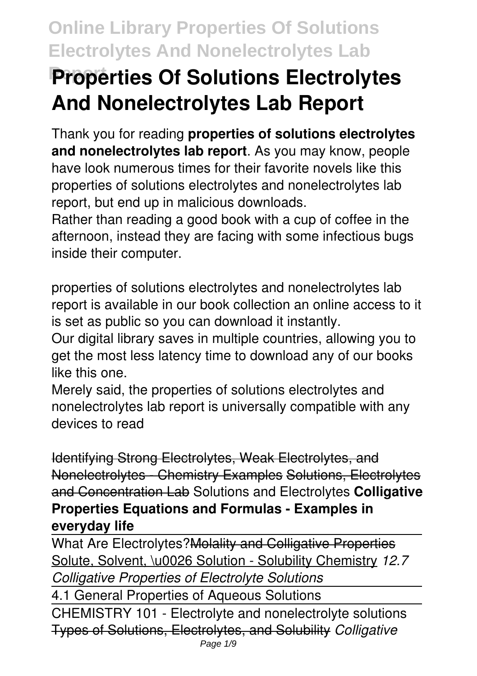# **Report Properties Of Solutions Electrolytes And Nonelectrolytes Lab Report**

Thank you for reading **properties of solutions electrolytes and nonelectrolytes lab report**. As you may know, people have look numerous times for their favorite novels like this properties of solutions electrolytes and nonelectrolytes lab report, but end up in malicious downloads.

Rather than reading a good book with a cup of coffee in the afternoon, instead they are facing with some infectious bugs inside their computer.

properties of solutions electrolytes and nonelectrolytes lab report is available in our book collection an online access to it is set as public so you can download it instantly.

Our digital library saves in multiple countries, allowing you to get the most less latency time to download any of our books like this one.

Merely said, the properties of solutions electrolytes and nonelectrolytes lab report is universally compatible with any devices to read

Identifying Strong Electrolytes, Weak Electrolytes, and Nonelectrolytes - Chemistry Examples Solutions, Electrolytes and Concentration Lab Solutions and Electrolytes **Colligative Properties Equations and Formulas - Examples in everyday life**

What Are Electrolytes?Molality and Colligative Properties Solute, Solvent, \u0026 Solution - Solubility Chemistry *12.7 Colligative Properties of Electrolyte Solutions*

4.1 General Properties of Aqueous Solutions CHEMISTRY 101 - Electrolyte and nonelectrolyte solutions Types of Solutions, Electrolytes, and Solubility *Colligative* Page 1/9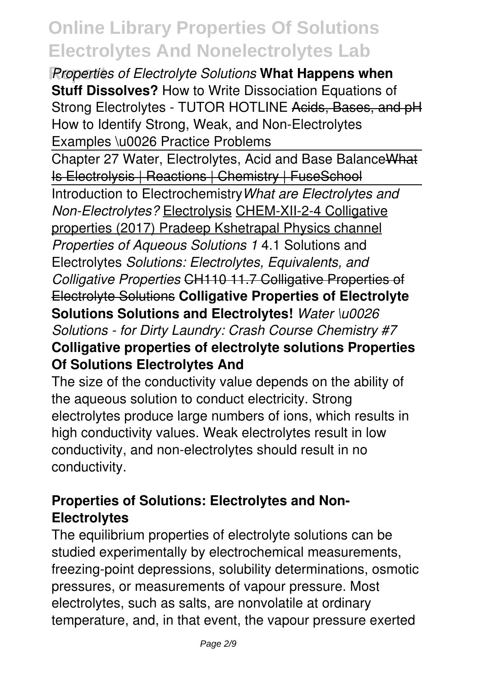*Properties of Electrolyte Solutions* **What Happens when Stuff Dissolves?** How to Write Dissociation Equations of Strong Electrolytes - TUTOR HOTLINE Acids, Bases, and pH How to Identify Strong, Weak, and Non-Electrolytes Examples \u0026 Practice Problems

Chapter 27 Water, Electrolytes, Acid and Base BalanceWhat Is Electrolysis | Reactions | Chemistry | FuseSchool Introduction to Electrochemistry*What are Electrolytes and Non-Electrolytes?* Electrolysis CHEM-XII-2-4 Colligative properties (2017) Pradeep Kshetrapal Physics channel *Properties of Aqueous Solutions 1* 4.1 Solutions and Electrolytes *Solutions: Electrolytes, Equivalents, and Colligative Properties* CH110 11.7 Colligative Properties of Electrolyte Solutions **Colligative Properties of Electrolyte Solutions Solutions and Electrolytes!** *Water \u0026 Solutions - for Dirty Laundry: Crash Course Chemistry #7* **Colligative properties of electrolyte solutions Properties Of Solutions Electrolytes And**

The size of the conductivity value depends on the ability of the aqueous solution to conduct electricity. Strong electrolytes produce large numbers of ions, which results in high conductivity values. Weak electrolytes result in low conductivity, and non-electrolytes should result in no conductivity.

### **Properties of Solutions: Electrolytes and Non-Electrolytes**

The equilibrium properties of electrolyte solutions can be studied experimentally by electrochemical measurements, freezing-point depressions, solubility determinations, osmotic pressures, or measurements of vapour pressure. Most electrolytes, such as salts, are nonvolatile at ordinary temperature, and, in that event, the vapour pressure exerted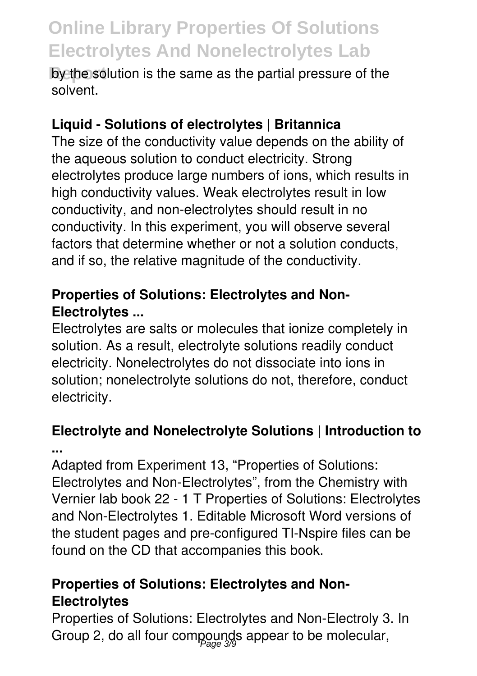**by the solution is the same as the partial pressure of the** solvent.

### **Liquid - Solutions of electrolytes | Britannica**

The size of the conductivity value depends on the ability of the aqueous solution to conduct electricity. Strong electrolytes produce large numbers of ions, which results in high conductivity values. Weak electrolytes result in low conductivity, and non-electrolytes should result in no conductivity. In this experiment, you will observe several factors that determine whether or not a solution conducts, and if so, the relative magnitude of the conductivity.

### **Properties of Solutions: Electrolytes and Non-Electrolytes ...**

Electrolytes are salts or molecules that ionize completely in solution. As a result, electrolyte solutions readily conduct electricity. Nonelectrolytes do not dissociate into ions in solution; nonelectrolyte solutions do not, therefore, conduct electricity.

# **Electrolyte and Nonelectrolyte Solutions | Introduction to**

**...**

Adapted from Experiment 13, "Properties of Solutions: Electrolytes and Non-Electrolytes", from the Chemistry with Vernier lab book 22 - 1 T Properties of Solutions: Electrolytes and Non-Electrolytes 1. Editable Microsoft Word versions of the student pages and pre-configured TI-Nspire files can be found on the CD that accompanies this book.

### **Properties of Solutions: Electrolytes and Non-Electrolytes**

Properties of Solutions: Electrolytes and Non-Electroly 3. In Group 2, do all four compounds appear to be molecular,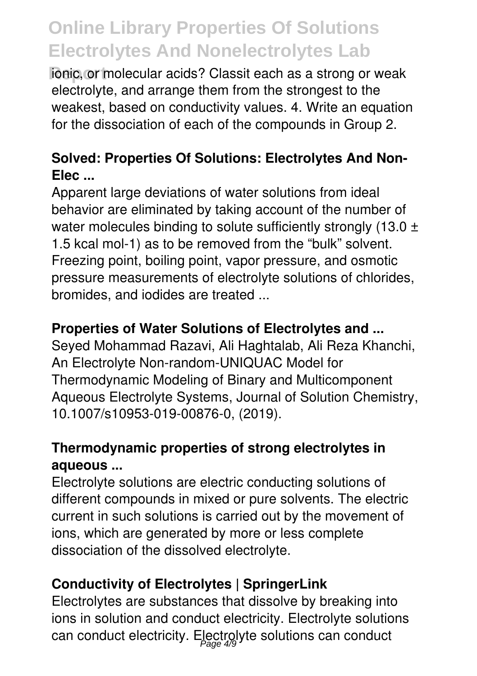**Fonic, or molecular acids? Classit each as a strong or weak** electrolyte, and arrange them from the strongest to the weakest, based on conductivity values. 4. Write an equation for the dissociation of each of the compounds in Group 2.

### **Solved: Properties Of Solutions: Electrolytes And Non-Elec ...**

Apparent large deviations of water solutions from ideal behavior are eliminated by taking account of the number of water molecules binding to solute sufficiently strongly (13.0  $\pm$ 1.5 kcal mol-1) as to be removed from the "bulk" solvent. Freezing point, boiling point, vapor pressure, and osmotic pressure measurements of electrolyte solutions of chlorides, bromides, and iodides are treated ...

### **Properties of Water Solutions of Electrolytes and ...**

Seyed Mohammad Razavi, Ali Haghtalab, Ali Reza Khanchi, An Electrolyte Non-random-UNIQUAC Model for Thermodynamic Modeling of Binary and Multicomponent Aqueous Electrolyte Systems, Journal of Solution Chemistry, 10.1007/s10953-019-00876-0, (2019).

### **Thermodynamic properties of strong electrolytes in aqueous ...**

Electrolyte solutions are electric conducting solutions of different compounds in mixed or pure solvents. The electric current in such solutions is carried out by the movement of ions, which are generated by more or less complete dissociation of the dissolved electrolyte.

### **Conductivity of Electrolytes | SpringerLink**

Electrolytes are substances that dissolve by breaking into ions in solution and conduct electricity. Electrolyte solutions can conduct electricity. Electrolyte solutions can conduct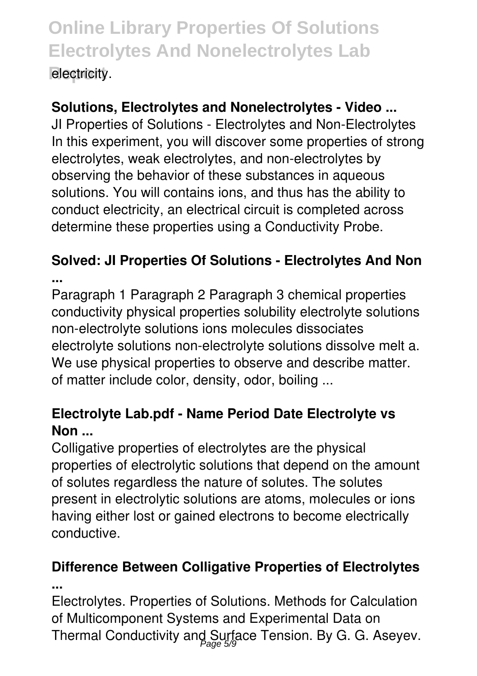### **Solutions, Electrolytes and Nonelectrolytes - Video ...**

JI Properties of Solutions - Electrolytes and Non-Electrolytes In this experiment, you will discover some properties of strong electrolytes, weak electrolytes, and non-electrolytes by observing the behavior of these substances in aqueous solutions. You will contains ions, and thus has the ability to conduct electricity, an electrical circuit is completed across determine these properties using a Conductivity Probe.

### **Solved: JI Properties Of Solutions - Electrolytes And Non ...**

Paragraph 1 Paragraph 2 Paragraph 3 chemical properties conductivity physical properties solubility electrolyte solutions non-electrolyte solutions ions molecules dissociates electrolyte solutions non-electrolyte solutions dissolve melt a. We use physical properties to observe and describe matter. of matter include color, density, odor, boiling ...

### **Electrolyte Lab.pdf - Name Period Date Electrolyte vs Non ...**

Colligative properties of electrolytes are the physical properties of electrolytic solutions that depend on the amount of solutes regardless the nature of solutes. The solutes present in electrolytic solutions are atoms, molecules or ions having either lost or gained electrons to become electrically conductive.

#### **Difference Between Colligative Properties of Electrolytes ...**

Electrolytes. Properties of Solutions. Methods for Calculation of Multicomponent Systems and Experimental Data on Thermal Conductivity and Surface Tension. By G. G. Aseyev.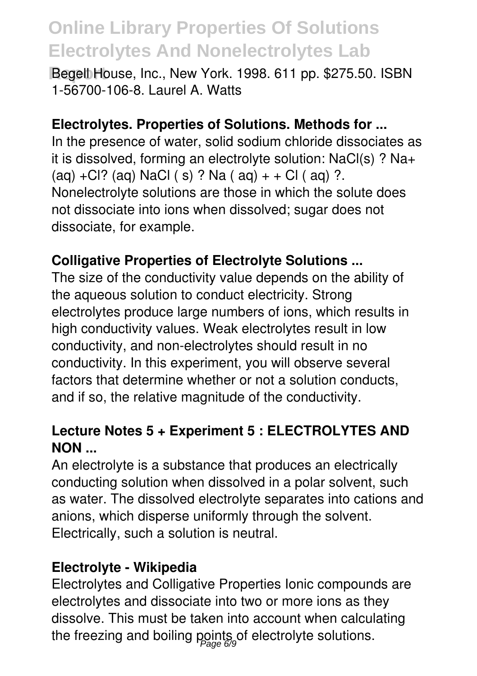**Report** Begell House, Inc., New York. 1998. 611 pp. \$275.50. ISBN 1-56700-106-8. Laurel A. Watts

#### **Electrolytes. Properties of Solutions. Methods for ...**

In the presence of water, solid sodium chloride dissociates as it is dissolved, forming an electrolyte solution: NaCl(s) ? Na+  $(aq) + Cl$ ?  $(aq)$  NaCl  $(s)$  ? Na  $(aq) + Cl$  ( $aq)$  ?. Nonelectrolyte solutions are those in which the solute does not dissociate into ions when dissolved; sugar does not dissociate, for example.

#### **Colligative Properties of Electrolyte Solutions ...**

The size of the conductivity value depends on the ability of the aqueous solution to conduct electricity. Strong electrolytes produce large numbers of ions, which results in high conductivity values. Weak electrolytes result in low conductivity, and non-electrolytes should result in no conductivity. In this experiment, you will observe several factors that determine whether or not a solution conducts, and if so, the relative magnitude of the conductivity.

#### **Lecture Notes 5 + Experiment 5 : ELECTROLYTES AND NON ...**

An electrolyte is a substance that produces an electrically conducting solution when dissolved in a polar solvent, such as water. The dissolved electrolyte separates into cations and anions, which disperse uniformly through the solvent. Electrically, such a solution is neutral.

#### **Electrolyte - Wikipedia**

Electrolytes and Colligative Properties Ionic compounds are electrolytes and dissociate into two or more ions as they dissolve. This must be taken into account when calculating the freezing and boiling points of electrolyte solutions.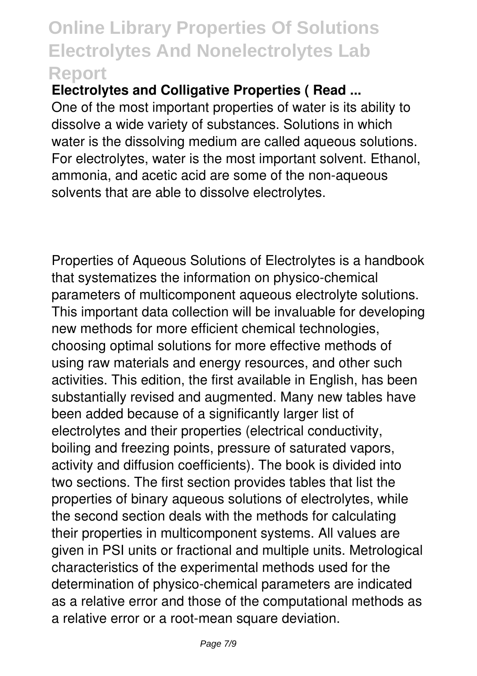**Electrolytes and Colligative Properties ( Read ...**

One of the most important properties of water is its ability to dissolve a wide variety of substances. Solutions in which water is the dissolving medium are called aqueous solutions. For electrolytes, water is the most important solvent. Ethanol, ammonia, and acetic acid are some of the non-aqueous solvents that are able to dissolve electrolytes.

Properties of Aqueous Solutions of Electrolytes is a handbook that systematizes the information on physico-chemical parameters of multicomponent aqueous electrolyte solutions. This important data collection will be invaluable for developing new methods for more efficient chemical technologies, choosing optimal solutions for more effective methods of using raw materials and energy resources, and other such activities. This edition, the first available in English, has been substantially revised and augmented. Many new tables have been added because of a significantly larger list of electrolytes and their properties (electrical conductivity, boiling and freezing points, pressure of saturated vapors, activity and diffusion coefficients). The book is divided into two sections. The first section provides tables that list the properties of binary aqueous solutions of electrolytes, while the second section deals with the methods for calculating their properties in multicomponent systems. All values are given in PSI units or fractional and multiple units. Metrological characteristics of the experimental methods used for the determination of physico-chemical parameters are indicated as a relative error and those of the computational methods as a relative error or a root-mean square deviation.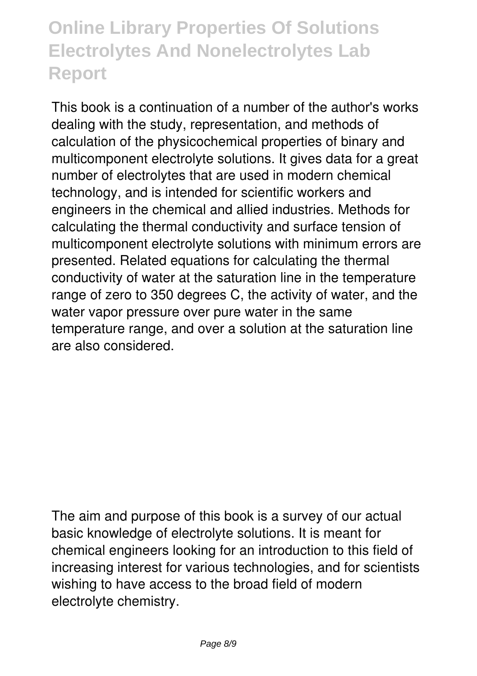This book is a continuation of a number of the author's works dealing with the study, representation, and methods of calculation of the physicochemical properties of binary and multicomponent electrolyte solutions. It gives data for a great number of electrolytes that are used in modern chemical technology, and is intended for scientific workers and engineers in the chemical and allied industries. Methods for calculating the thermal conductivity and surface tension of multicomponent electrolyte solutions with minimum errors are presented. Related equations for calculating the thermal conductivity of water at the saturation line in the temperature range of zero to 350 degrees C, the activity of water, and the water vapor pressure over pure water in the same temperature range, and over a solution at the saturation line are also considered.

The aim and purpose of this book is a survey of our actual basic knowledge of electrolyte solutions. It is meant for chemical engineers looking for an introduction to this field of increasing interest for various technologies, and for scientists wishing to have access to the broad field of modern electrolyte chemistry.